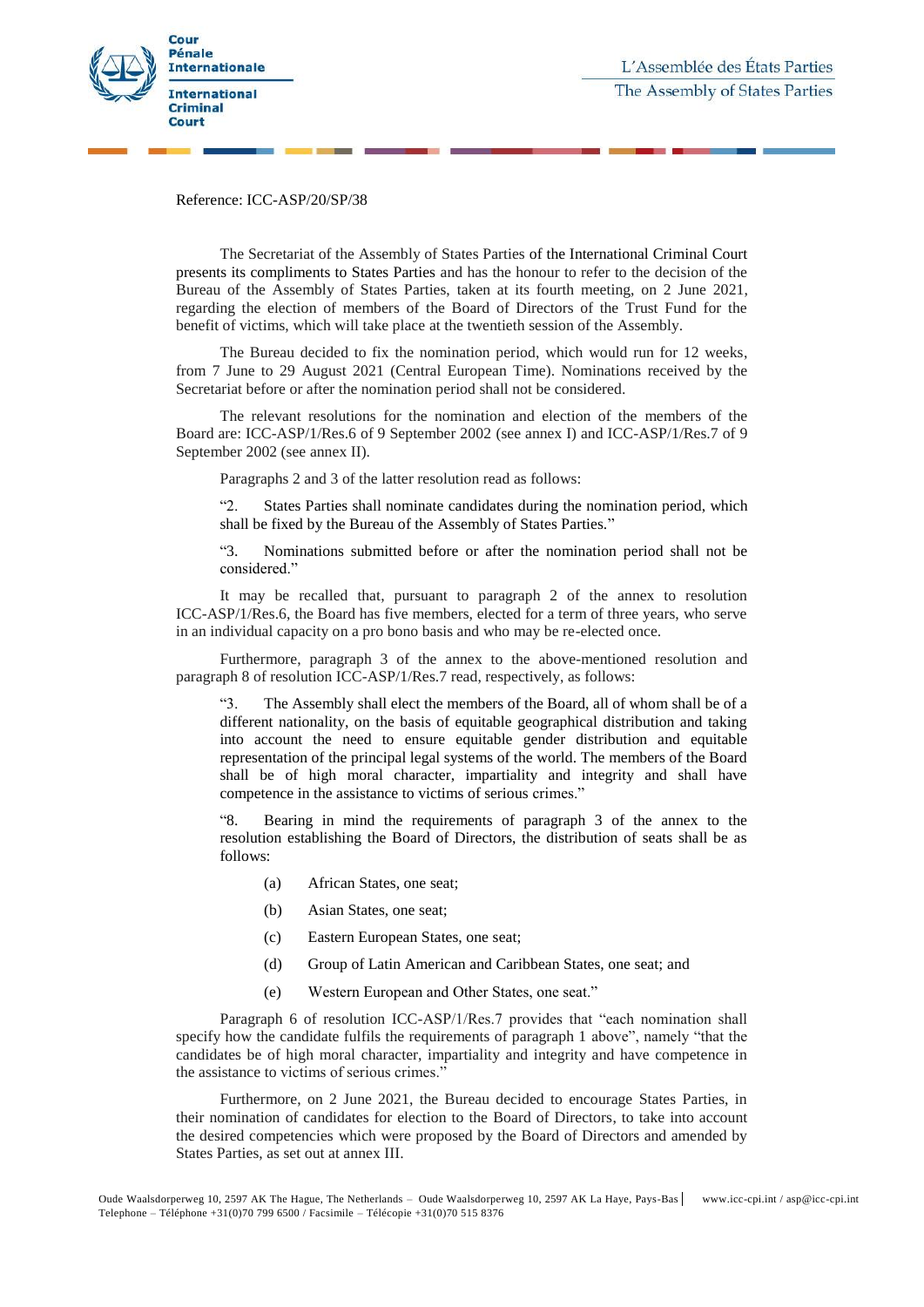

Reference: ICC-ASP/20/SP/38

The Secretariat of the Assembly of States Parties of the International Criminal Court presents its compliments to States Parties and has the honour to refer to the decision of the Bureau of the Assembly of States Parties, taken at its fourth meeting, on 2 June 2021, regarding the election of members of the Board of Directors of the Trust Fund for the benefit of victims, which will take place at the twentieth session of the Assembly.

The Bureau decided to fix the nomination period, which would run for 12 weeks, from 7 June to 29 August 2021 (Central European Time). Nominations received by the Secretariat before or after the nomination period shall not be considered.

The relevant resolutions for the nomination and election of the members of the Board are: ICC-ASP/1/Res.6 of 9 September 2002 (see annex I) and ICC-ASP/1/Res.7 of 9 September 2002 (see annex II).

Paragraphs 2 and 3 of the latter resolution read as follows:

"2. States Parties shall nominate candidates during the nomination period, which shall be fixed by the Bureau of the Assembly of States Parties."

"3. Nominations submitted before or after the nomination period shall not be considered."

It may be recalled that, pursuant to paragraph 2 of the annex to resolution ICC-ASP/1/Res.6, the Board has five members, elected for a term of three years, who serve in an individual capacity on a pro bono basis and who may be re-elected once.

Furthermore, paragraph 3 of the annex to the above-mentioned resolution and paragraph 8 of resolution ICC-ASP/1/Res.7 read, respectively, as follows:

"3. The Assembly shall elect the members of the Board, all of whom shall be of a different nationality, on the basis of equitable geographical distribution and taking into account the need to ensure equitable gender distribution and equitable representation of the principal legal systems of the world. The members of the Board shall be of high moral character, impartiality and integrity and shall have competence in the assistance to victims of serious crimes."

"8. Bearing in mind the requirements of paragraph 3 of the annex to the resolution establishing the Board of Directors, the distribution of seats shall be as follows:

- (a) African States, one seat;
- (b) Asian States, one seat;
- (c) Eastern European States, one seat;
- (d) Group of Latin American and Caribbean States, one seat; and
- (e) Western European and Other States, one seat."

Paragraph 6 of resolution ICC-ASP/1/Res.7 provides that "each nomination shall specify how the candidate fulfils the requirements of paragraph 1 above", namely "that the candidates be of high moral character, impartiality and integrity and have competence in the assistance to victims of serious crimes."

Furthermore, on 2 June 2021, the Bureau decided to encourage States Parties, in their nomination of candidates for election to the Board of Directors, to take into account the desired competencies which were proposed by the Board of Directors and amended by States Parties, as set out at annex III.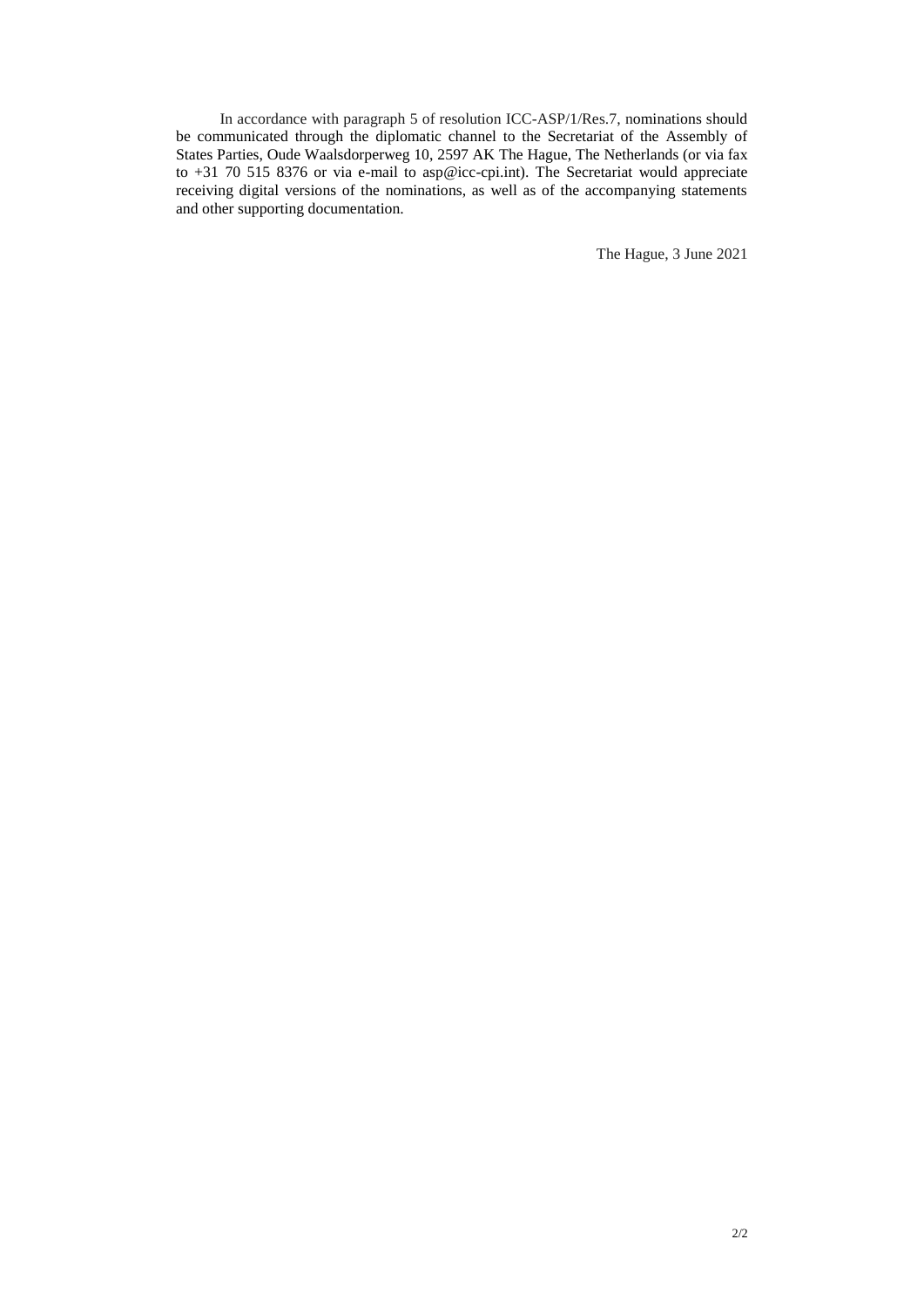In accordance with paragraph 5 of resolution ICC-ASP/1/Res.7, nominations should be communicated through the diplomatic channel to the Secretariat of the Assembly of States Parties, Oude Waalsdorperweg 10, 2597 AK The Hague, The Netherlands (or via fax to +31 70 515 8376 or via e-mail to asp@icc-cpi.int). The Secretariat would appreciate receiving digital versions of the nominations, as well as of the accompanying statements and other supporting documentation.

The Hague, 3 June 2021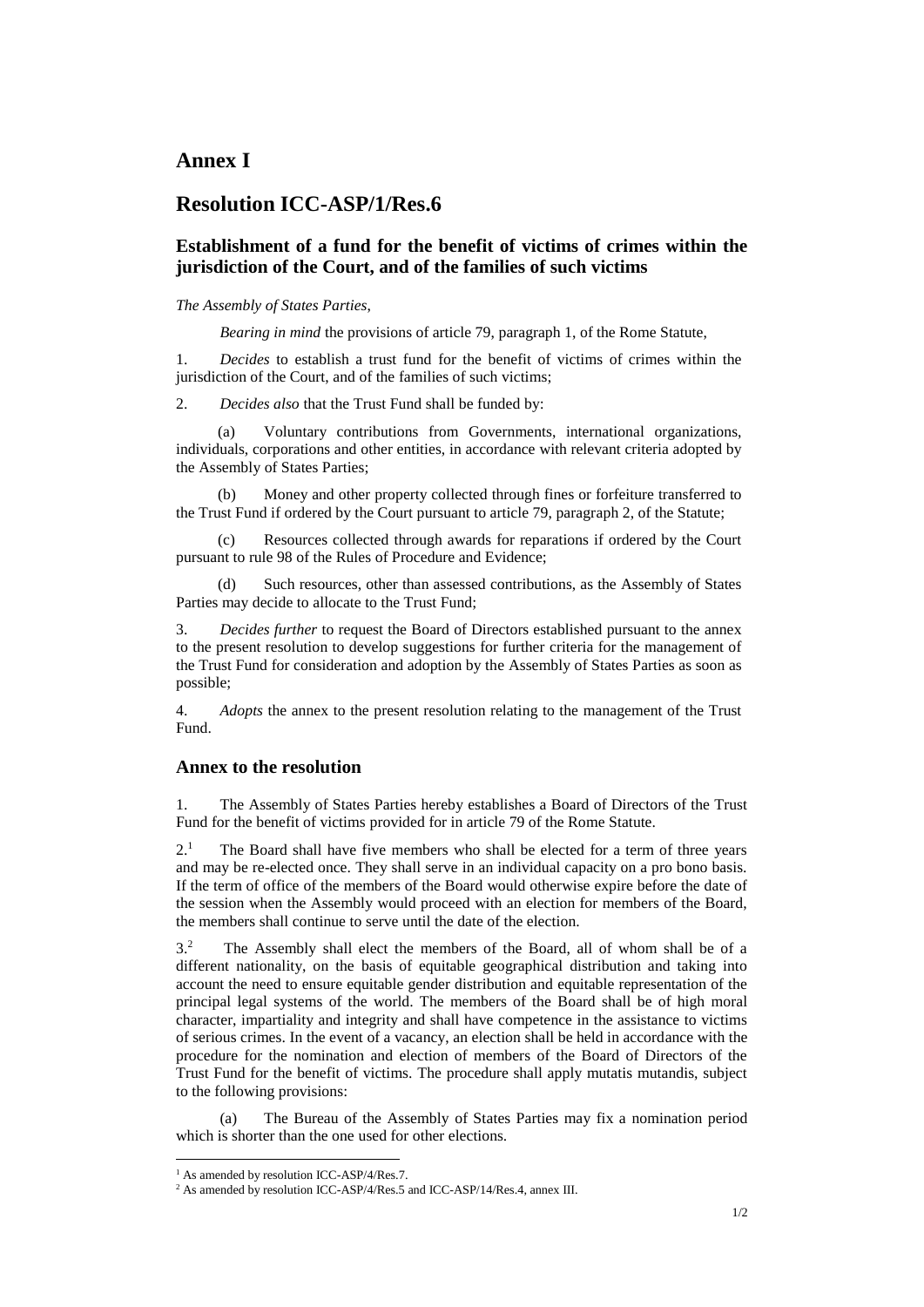### **Annex I**

### **Resolution ICC-ASP/1/Res.6**

### **Establishment of a fund for the benefit of victims of crimes within the jurisdiction of the Court, and of the families of such victims**

#### *The Assembly of States Parties*,

*Bearing in mind* the provisions of article 79, paragraph 1, of the Rome Statute,

1. *Decides* to establish a trust fund for the benefit of victims of crimes within the jurisdiction of the Court, and of the families of such victims;

2. *Decides also* that the Trust Fund shall be funded by:

(a) Voluntary contributions from Governments, international organizations, individuals, corporations and other entities, in accordance with relevant criteria adopted by the Assembly of States Parties;

(b) Money and other property collected through fines or forfeiture transferred to the Trust Fund if ordered by the Court pursuant to article 79, paragraph 2, of the Statute;

(c) Resources collected through awards for reparations if ordered by the Court pursuant to rule 98 of the Rules of Procedure and Evidence;

Such resources, other than assessed contributions, as the Assembly of States Parties may decide to allocate to the Trust Fund;

3. *Decides further* to request the Board of Directors established pursuant to the annex to the present resolution to develop suggestions for further criteria for the management of the Trust Fund for consideration and adoption by the Assembly of States Parties as soon as possible;

4. *Adopts* the annex to the present resolution relating to the management of the Trust Fund.

#### **Annex to the resolution**

1. The Assembly of States Parties hereby establishes a Board of Directors of the Trust Fund for the benefit of victims provided for in article 79 of the Rome Statute.

 $2<sup>1</sup>$  The Board shall have five members who shall be elected for a term of three years and may be re-elected once. They shall serve in an individual capacity on a pro bono basis. If the term of office of the members of the Board would otherwise expire before the date of the session when the Assembly would proceed with an election for members of the Board, the members shall continue to serve until the date of the election.

3.<sup>2</sup> The Assembly shall elect the members of the Board, all of whom shall be of a different nationality, on the basis of equitable geographical distribution and taking into account the need to ensure equitable gender distribution and equitable representation of the principal legal systems of the world. The members of the Board shall be of high moral character, impartiality and integrity and shall have competence in the assistance to victims of serious crimes. In the event of a vacancy, an election shall be held in accordance with the procedure for the nomination and election of members of the Board of Directors of the Trust Fund for the benefit of victims. The procedure shall apply mutatis mutandis, subject to the following provisions:

(a) The Bureau of the Assembly of States Parties may fix a nomination period which is shorter than the one used for other elections.

 $\overline{a}$ 

<sup>&</sup>lt;sup>1</sup> As amended by resolution ICC-ASP/4/Res.7.

<sup>&</sup>lt;sup>2</sup> As amended by resolution ICC-ASP/4/Res.5 and ICC-ASP/14/Res.4, annex III.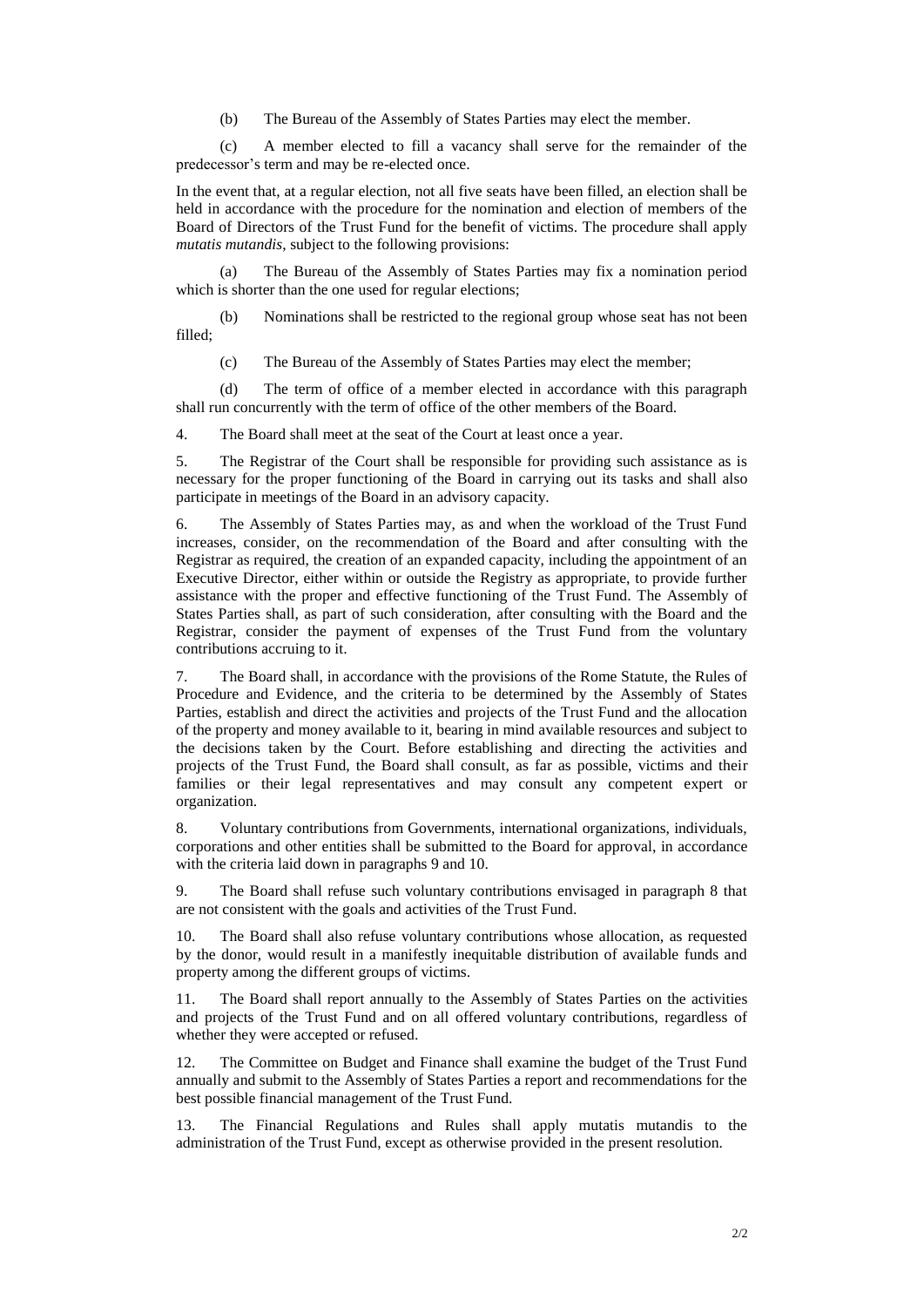(b) The Bureau of the Assembly of States Parties may elect the member.

(c) A member elected to fill a vacancy shall serve for the remainder of the predecessor's term and may be re-elected once.

In the event that, at a regular election, not all five seats have been filled, an election shall be held in accordance with the procedure for the nomination and election of members of the Board of Directors of the Trust Fund for the benefit of victims. The procedure shall apply *mutatis mutandis*, subject to the following provisions:

(a) The Bureau of the Assembly of States Parties may fix a nomination period which is shorter than the one used for regular elections;

(b) Nominations shall be restricted to the regional group whose seat has not been filled;

(c) The Bureau of the Assembly of States Parties may elect the member;

(d) The term of office of a member elected in accordance with this paragraph shall run concurrently with the term of office of the other members of the Board.

4. The Board shall meet at the seat of the Court at least once a year.

5. The Registrar of the Court shall be responsible for providing such assistance as is necessary for the proper functioning of the Board in carrying out its tasks and shall also participate in meetings of the Board in an advisory capacity.

6. The Assembly of States Parties may, as and when the workload of the Trust Fund increases, consider, on the recommendation of the Board and after consulting with the Registrar as required, the creation of an expanded capacity, including the appointment of an Executive Director, either within or outside the Registry as appropriate, to provide further assistance with the proper and effective functioning of the Trust Fund. The Assembly of States Parties shall, as part of such consideration, after consulting with the Board and the Registrar, consider the payment of expenses of the Trust Fund from the voluntary contributions accruing to it.

7. The Board shall, in accordance with the provisions of the Rome Statute, the Rules of Procedure and Evidence, and the criteria to be determined by the Assembly of States Parties, establish and direct the activities and projects of the Trust Fund and the allocation of the property and money available to it, bearing in mind available resources and subject to the decisions taken by the Court. Before establishing and directing the activities and projects of the Trust Fund, the Board shall consult, as far as possible, victims and their families or their legal representatives and may consult any competent expert or organization.

8. Voluntary contributions from Governments, international organizations, individuals, corporations and other entities shall be submitted to the Board for approval, in accordance with the criteria laid down in paragraphs 9 and 10.

9. The Board shall refuse such voluntary contributions envisaged in paragraph 8 that are not consistent with the goals and activities of the Trust Fund.

10. The Board shall also refuse voluntary contributions whose allocation, as requested by the donor, would result in a manifestly inequitable distribution of available funds and property among the different groups of victims.

11. The Board shall report annually to the Assembly of States Parties on the activities and projects of the Trust Fund and on all offered voluntary contributions, regardless of whether they were accepted or refused.

12. The Committee on Budget and Finance shall examine the budget of the Trust Fund annually and submit to the Assembly of States Parties a report and recommendations for the best possible financial management of the Trust Fund.

13. The Financial Regulations and Rules shall apply mutatis mutandis to the administration of the Trust Fund, except as otherwise provided in the present resolution.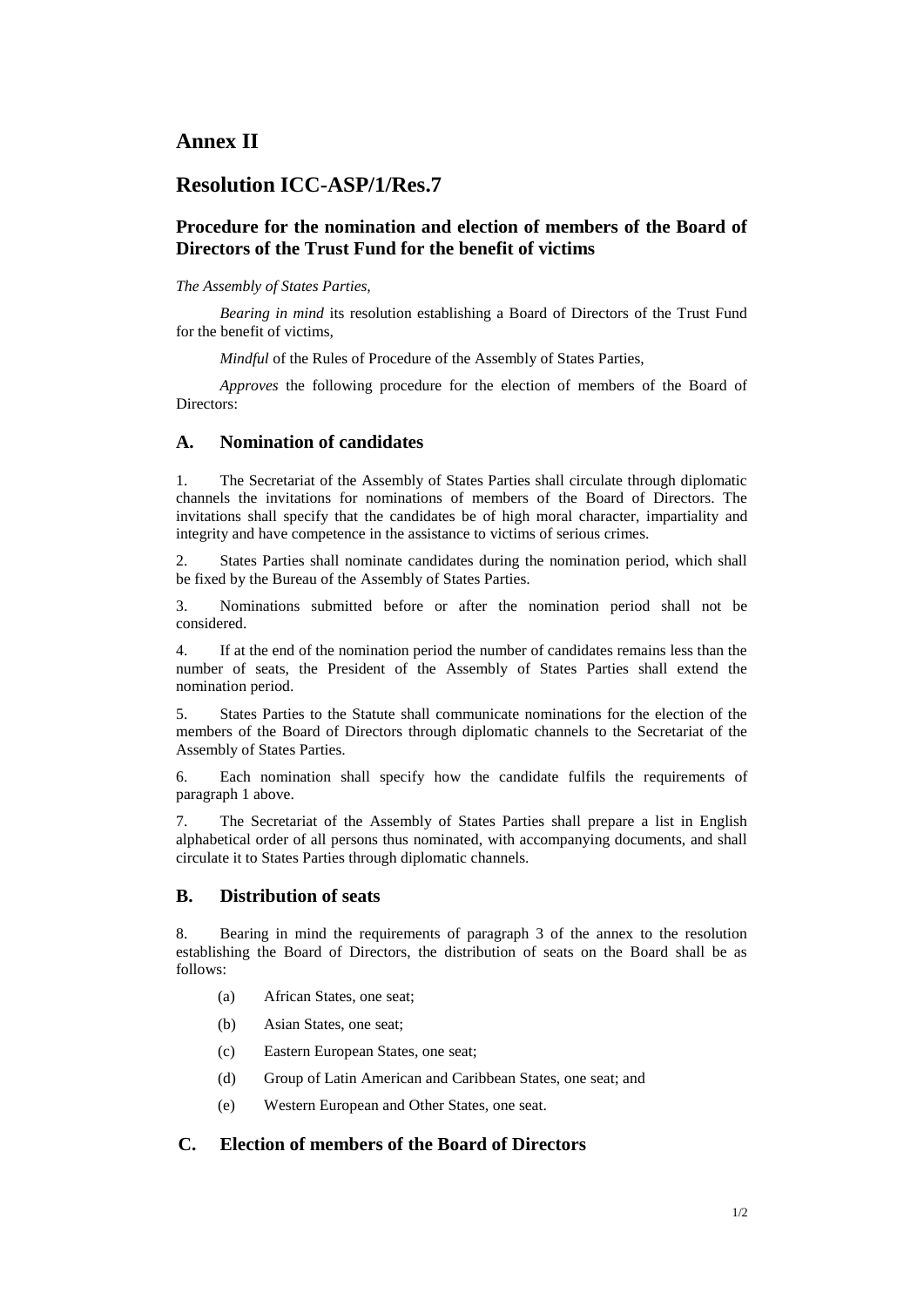## **Annex II**

## **Resolution ICC-ASP/1/Res.7**

### **Procedure for the nomination and election of members of the Board of Directors of the Trust Fund for the benefit of victims**

#### *The Assembly of States Parties,*

*Bearing in mind* its resolution establishing a Board of Directors of the Trust Fund for the benefit of victims,

*Mindful* of the Rules of Procedure of the Assembly of States Parties,

*Approves* the following procedure for the election of members of the Board of Directors:

#### **A. Nomination of candidates**

1. The Secretariat of the Assembly of States Parties shall circulate through diplomatic channels the invitations for nominations of members of the Board of Directors. The invitations shall specify that the candidates be of high moral character, impartiality and integrity and have competence in the assistance to victims of serious crimes.

2. States Parties shall nominate candidates during the nomination period, which shall be fixed by the Bureau of the Assembly of States Parties.

3. Nominations submitted before or after the nomination period shall not be considered.

4. If at the end of the nomination period the number of candidates remains less than the number of seats, the President of the Assembly of States Parties shall extend the nomination period.

5. States Parties to the Statute shall communicate nominations for the election of the members of the Board of Directors through diplomatic channels to the Secretariat of the Assembly of States Parties.

6. Each nomination shall specify how the candidate fulfils the requirements of paragraph 1 above.

7. The Secretariat of the Assembly of States Parties shall prepare a list in English alphabetical order of all persons thus nominated, with accompanying documents, and shall circulate it to States Parties through diplomatic channels.

#### **B. Distribution of seats**

8. Bearing in mind the requirements of paragraph 3 of the annex to the resolution establishing the Board of Directors, the distribution of seats on the Board shall be as follows:

- (a) African States, one seat;
- (b) Asian States, one seat;
- (c) Eastern European States, one seat;
- (d) Group of Latin American and Caribbean States, one seat; and
- (e) Western European and Other States, one seat.

#### **C. Election of members of the Board of Directors**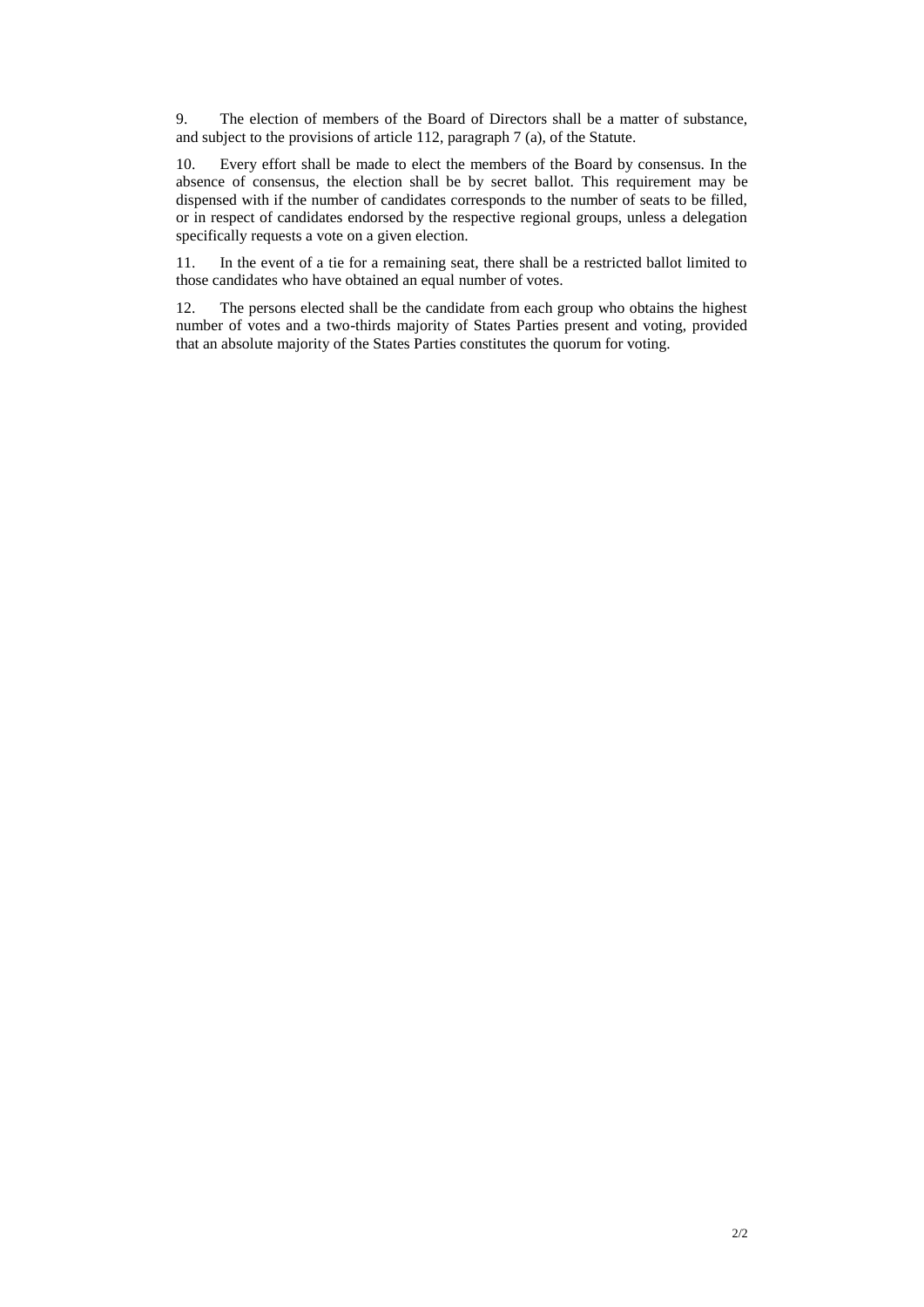9. The election of members of the Board of Directors shall be a matter of substance, and subject to the provisions of article 112, paragraph 7 (a), of the Statute.

10. Every effort shall be made to elect the members of the Board by consensus. In the absence of consensus, the election shall be by secret ballot. This requirement may be dispensed with if the number of candidates corresponds to the number of seats to be filled, or in respect of candidates endorsed by the respective regional groups, unless a delegation specifically requests a vote on a given election.

11. In the event of a tie for a remaining seat, there shall be a restricted ballot limited to those candidates who have obtained an equal number of votes.

12. The persons elected shall be the candidate from each group who obtains the highest number of votes and a two-thirds majority of States Parties present and voting, provided that an absolute majority of the States Parties constitutes the quorum for voting.